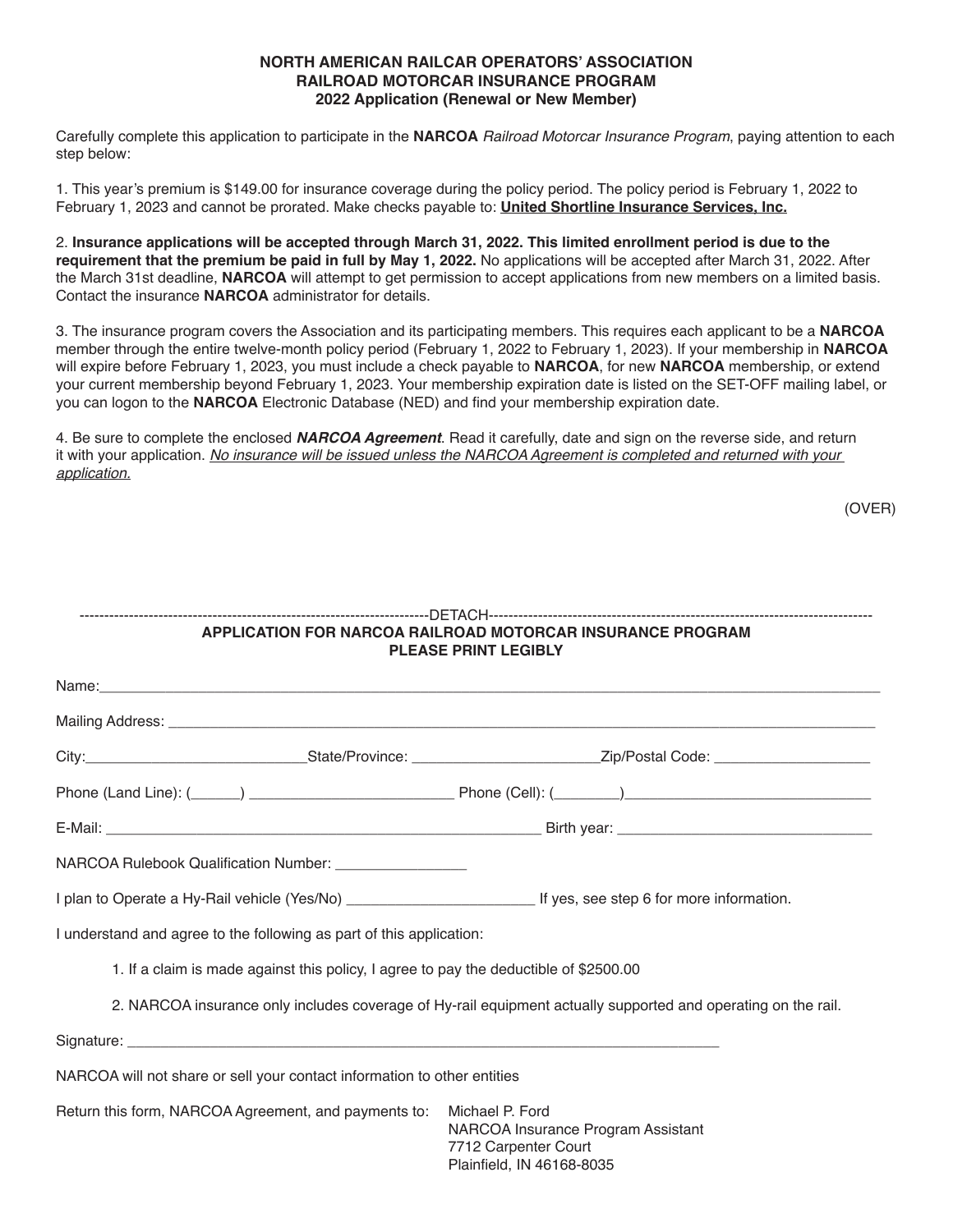# **NORTH AMERICAN RAILCAR OPERATORS' ASSOCIATION RAILROAD MOTORCAR INSURANCE PROGRAM 2022 Application (Renewal or New Member)**

Carefully complete this application to participate in the **NARCOA** *Railroad Motorcar Insurance Program*, paying attention to each step below:

1. This year's premium is \$149.00 for insurance coverage during the policy period. The policy period is February 1, 2022 to February 1, 2023 and cannot be prorated. Make checks payable to: **United Shortline Insurance Services, Inc.**

2. **Insurance applications will be accepted through March 31, 2022. This limited enrollment period is due to the requirement that the premium be paid in full by May 1, 2022.** No applications will be accepted after March 31, 2022. After the March 31st deadline, **NARCOA** will attempt to get permission to accept applications from new members on a limited basis. Contact the insurance **NARCOA** administrator for details.

3. The insurance program covers the Association and its participating members. This requires each applicant to be a **NARCOA** member through the entire twelve-month policy period (February 1, 2022 to February 1, 2023). If your membership in **NARCOA** will expire before February 1, 2023, you must include a check payable to **NARCOA**, for new **NARCOA** membership, or extend your current membership beyond February 1, 2023. Your membership expiration date is listed on the SET-OFF mailing label, or you can logon to the **NARCOA** Electronic Database (NED) and find your membership expiration date.

4. Be sure to complete the enclosed **NARCOA Agreement**. Read it carefully, date and sign on the reverse side, and return it with your application. *No insurance will be issued unless the NARCOA Agreement is completed and returned with your application.*

(OVER)

| APPLICATION FOR NARCOA RAILROAD MOTORCAR INSURANCE PROGRAM<br><b>PLEASE PRINT LEGIBLY</b> |                                                                                                               |  |
|-------------------------------------------------------------------------------------------|---------------------------------------------------------------------------------------------------------------|--|
|                                                                                           |                                                                                                               |  |
|                                                                                           |                                                                                                               |  |
|                                                                                           |                                                                                                               |  |
|                                                                                           |                                                                                                               |  |
|                                                                                           |                                                                                                               |  |
| NARCOA Rulebook Qualification Number: _________________                                   |                                                                                                               |  |
|                                                                                           |                                                                                                               |  |
| I understand and agree to the following as part of this application:                      |                                                                                                               |  |
| 1. If a claim is made against this policy, I agree to pay the deductible of \$2500.00     |                                                                                                               |  |
|                                                                                           | 2. NARCOA insurance only includes coverage of Hy-rail equipment actually supported and operating on the rail. |  |
|                                                                                           |                                                                                                               |  |
| NARCOA will not share or sell your contact information to other entities                  |                                                                                                               |  |
| Return this form, NARCOA Agreement, and payments to:                                      | Michael P. Ford<br>NARCOA Insurance Program Assistant<br>7712 Carpenter Court<br>Plainfield, IN 46168-8035    |  |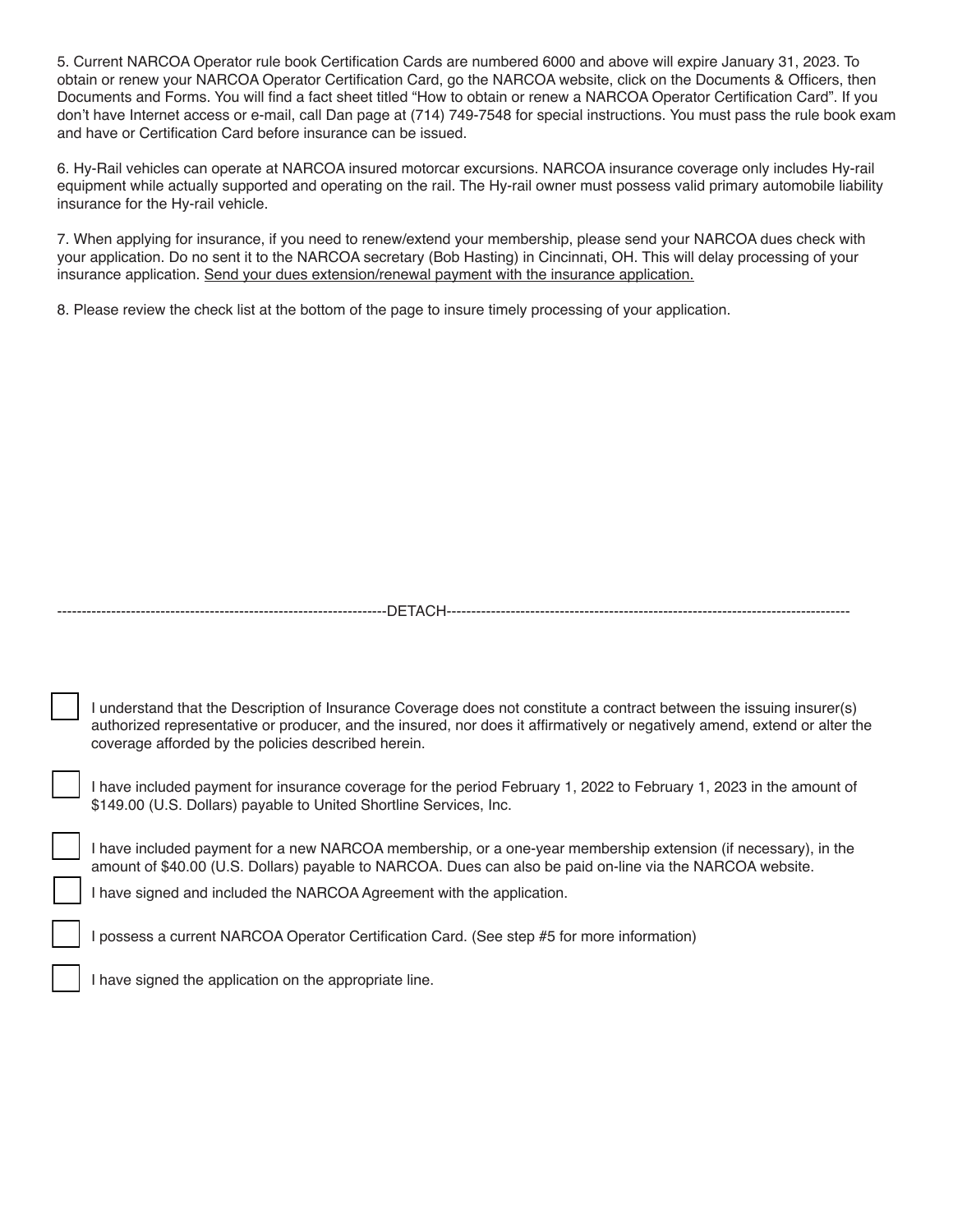5. Current NARCOA Operator rule book Certification Cards are numbered 6000 and above will expire January 31, 2023. To obtain or renew your NARCOA Operator Certification Card, go the NARCOA website, click on the Documents & Officers, then Documents and Forms. You will find a fact sheet titled "How to obtain or renew a NARCOA Operator Certification Card". If you don't have Internet access or e-mail, call Dan page at (714) 749-7548 for special instructions. You must pass the rule book exam and have or Certification Card before insurance can be issued.

6. Hy-Rail vehicles can operate at NARCOA insured motorcar excursions. NARCOA insurance coverage only includes Hy-rail equipment while actually supported and operating on the rail. The Hy-rail owner must possess valid primary automobile liability insurance for the Hy-rail vehicle.

7. When applying for insurance, if you need to renew/extend your membership, please send your NARCOA dues check with your application. Do no sent it to the NARCOA secretary (Bob Hasting) in Cincinnati, OH. This will delay processing of your insurance application. Send your dues extension/renewal payment with the insurance application.

8. Please review the check list at the bottom of the page to insure timely processing of your application.

| ∶ ∟۱ ،<br>$\mathbf{r}$ |
|------------------------|
|------------------------|

I understand that the Description of Insurance Coverage does not constitute a contract between the issuing insurer(s) authorized representative or producer, and the insured, nor does it affirmatively or negatively amend, extend or alter the coverage afforded by the policies described herein.

I have included payment for insurance coverage for the period February 1, 2022 to February 1, 2023 in the amount of \$149.00 (U.S. Dollars) payable to United Shortline Services, Inc.

I have included payment for a new NARCOA membership, or a one-year membership extension (if necessary), in the amount of \$40.00 (U.S. Dollars) payable to NARCOA. Dues can also be paid on-line via the NARCOA website.

I have signed and included the NARCOA Agreement with the application.

I possess a current NARCOA Operator Certification Card. (See step #5 for more information)

I have signed the application on the appropriate line.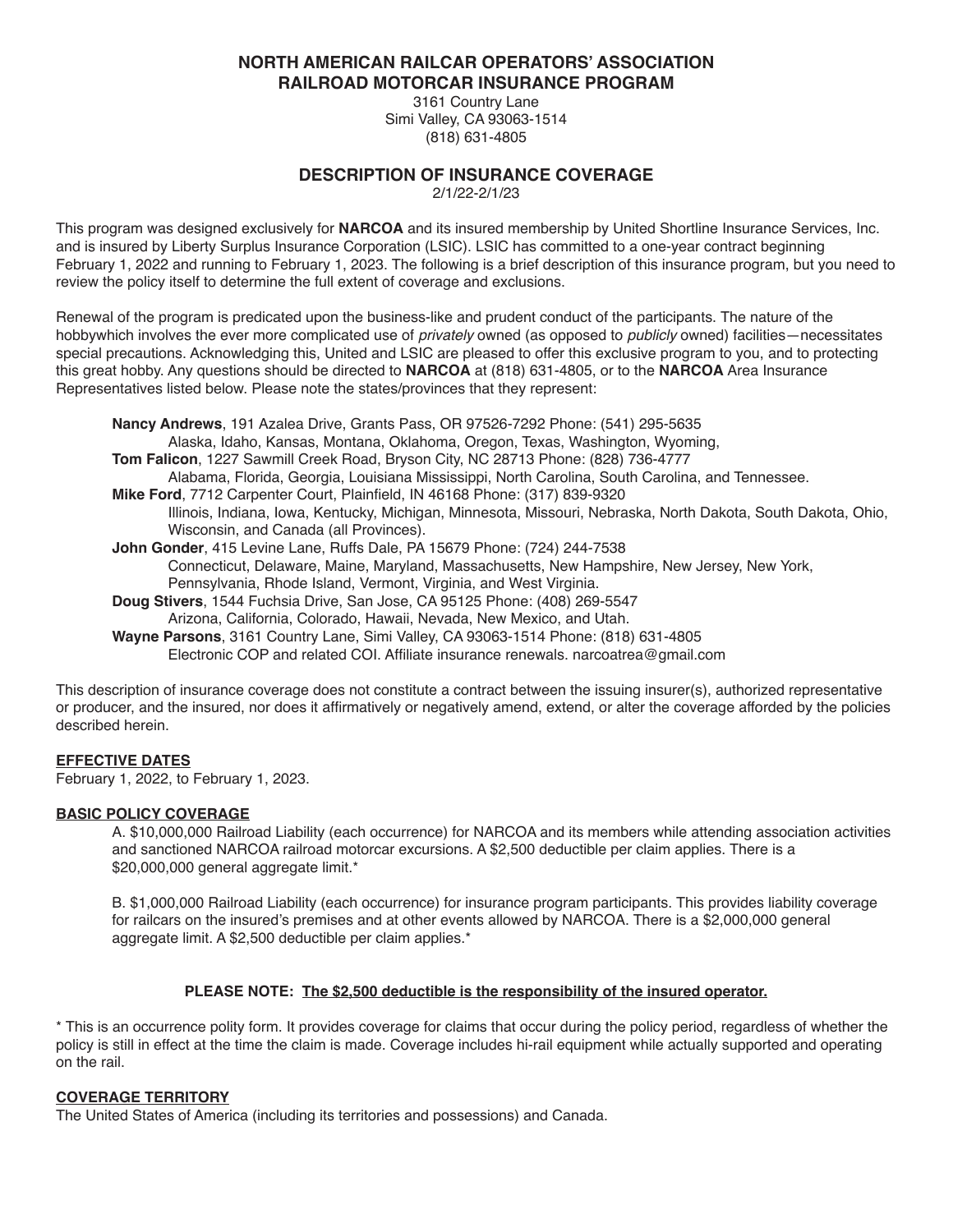**NORTH AMERICAN RAILCAR OPERATORS' ASSOCIATION RAILROAD MOTORCAR INSURANCE PROGRAM**

> 3161 Country Lane Simi Valley, CA 93063-1514 (818) 631-4805

# **DESCRIPTION OF INSURANCE COVERAGE**

2/1/22-2/1/23

This program was designed exclusively for **NARCOA** and its insured membership by United Shortline Insurance Services, Inc. and is insured by Liberty Surplus Insurance Corporation (LSIC). LSIC has committed to a one-year contract beginning February 1, 2022 and running to February 1, 2023. The following is a brief description of this insurance program, but you need to review the policy itself to determine the full extent of coverage and exclusions.

Renewal of the program is predicated upon the business-like and prudent conduct of the participants. The nature of the hobbywhich involves the ever more complicated use of *privately* owned (as opposed to *publicly* owned) facilities—necessitates special precautions. Acknowledging this, United and LSIC are pleased to offer this exclusive program to you, and to protecting this great hobby. Any questions should be directed to **NARCOA** at (818) 631-4805, or to the **NARCOA** Area Insurance Representatives listed below. Please note the states/provinces that they represent:

**Nancy Andrews**, 191 Azalea Drive, Grants Pass, OR 97526-7292 Phone: (541) 295-5635 Alaska, Idaho, Kansas, Montana, Oklahoma, Oregon, Texas, Washington, Wyoming, **Tom Falicon**, 1227 Sawmill Creek Road, Bryson City, NC 28713 Phone: (828) 736-4777 Alabama, Florida, Georgia, Louisiana Mississippi, North Carolina, South Carolina, and Tennessee. **Mike Ford**, 7712 Carpenter Court, Plainfield, IN 46168 Phone: (317) 839-9320 Illinois, Indiana, Iowa, Kentucky, Michigan, Minnesota, Missouri, Nebraska, North Dakota, South Dakota, Ohio, Wisconsin, and Canada (all Provinces). **John Gonder**, 415 Levine Lane, Ruffs Dale, PA 15679 Phone: (724) 244-7538 Connecticut, Delaware, Maine, Maryland, Massachusetts, New Hampshire, New Jersey, New York, Pennsylvania, Rhode Island, Vermont, Virginia, and West Virginia. **Doug Stivers**, 1544 Fuchsia Drive, San Jose, CA 95125 Phone: (408) 269-5547 Arizona, California, Colorado, Hawaii, Nevada, New Mexico, and Utah. **Wayne Parsons**, 3161 Country Lane, Simi Valley, CA 93063-1514 Phone: (818) 631-4805 Electronic COP and related COI. Affiliate insurance renewals. narcoatrea@gmail.com

This description of insurance coverage does not constitute a contract between the issuing insurer(s), authorized representative or producer, and the insured, nor does it affirmatively or negatively amend, extend, or alter the coverage afforded by the policies described herein.

# **EFFECTIVE DATES**

February 1, 2022, to February 1, 2023.

## **BASIC POLICY COVERAGE**

A. \$10,000,000 Railroad Liability (each occurrence) for NARCOA and its members while attending association activities and sanctioned NARCOA railroad motorcar excursions. A \$2,500 deductible per claim applies. There is a \$20,000,000 general aggregate limit.\*

B. \$1,000,000 Railroad Liability (each occurrence) for insurance program participants. This provides liability coverage for railcars on the insured's premises and at other events allowed by NARCOA. There is a \$2,000,000 general aggregate limit. A \$2,500 deductible per claim applies.\*

## **PLEASE NOTE: The \$2,500 deductible is the responsibility of the insured operator.**

\* This is an occurrence polity form. It provides coverage for claims that occur during the policy period, regardless of whether the policy is still in effect at the time the claim is made. Coverage includes hi-rail equipment while actually supported and operating on the rail.

## **COVERAGE TERRITORY**

The United States of America (including its territories and possessions) and Canada.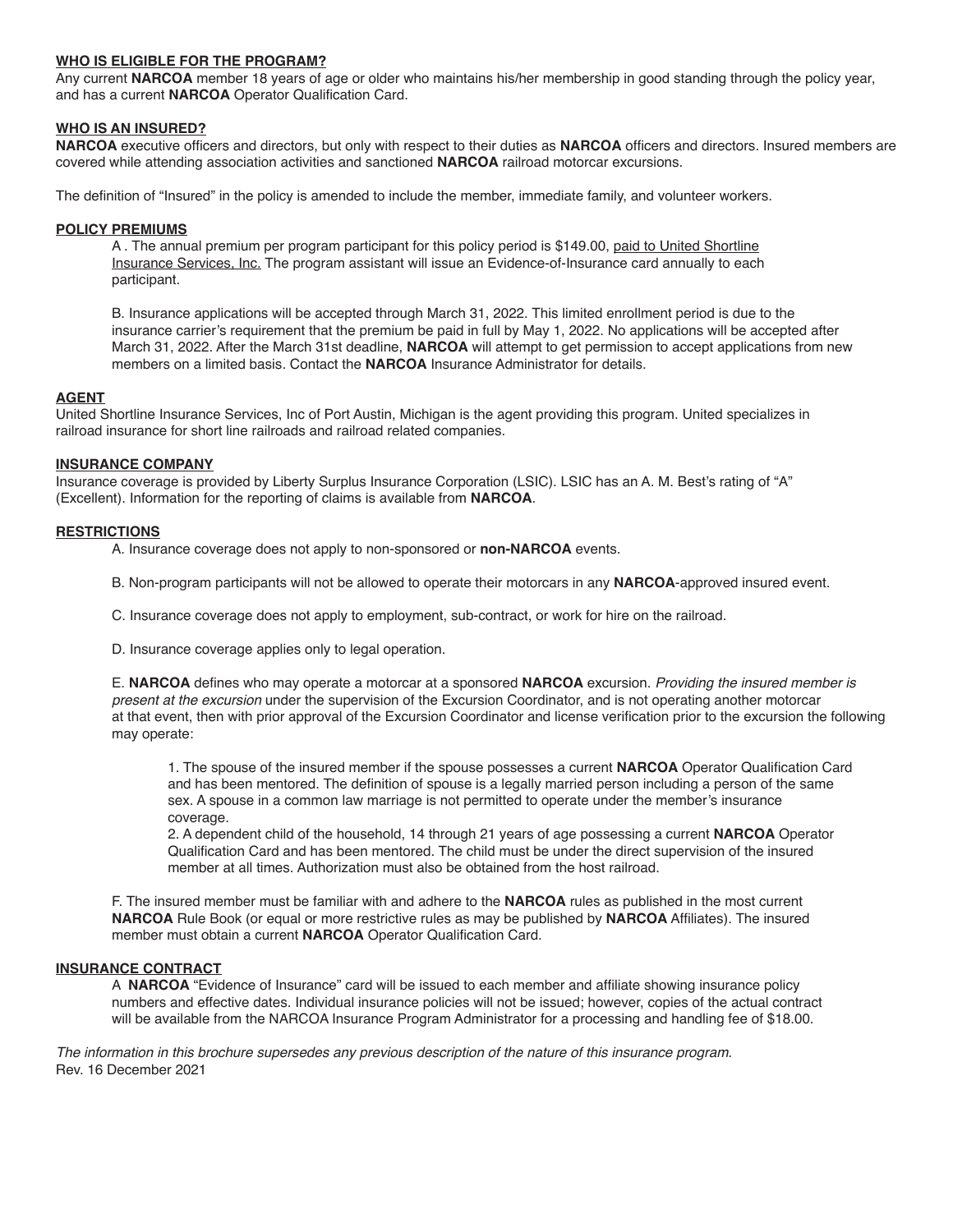## **WHO IS ELIGIBLE FOR THE PROGRAM?**

Any current **NARCOA** member 18 years of age or older who maintains his/her membership in good standing through the policy year, and has a current **NARCOA** Operator Qualification Card.

## **WHO IS AN INSURED?**

**NARCOA** executive officers and directors, but only with respect to their duties as **NARCOA** officers and directors. Insured members are covered while attending association activities and sanctioned **NARCOA** railroad motorcar excursions.

The definition of "Insured" in the policy is amended to include the member, immediate family, and volunteer workers.

#### **POLICY PREMIUMS**

A . The annual premium per program participant for this policy period is \$149.00, paid to United Shortline Insurance Services, Inc. The program assistant will issue an Evidence-of-Insurance card annually to each participant.

B. Insurance applications will be accepted through March 31, 2022. This limited enrollment period is due to the insurance carrier's requirement that the premium be paid in full by May 1, 2022. No applications will be accepted after March 31, 2022. After the March 31st deadline, **NARCOA** will attempt to get permission to accept applications from new members on a limited basis. Contact the **NARCOA** Insurance Administrator for details.

## **AGENT**

United Shortline Insurance Services, Inc of Port Austin, Michigan is the agent providing this program. United specializes in railroad insurance for short line railroads and railroad related companies.

#### **INSURANCE COMPANY**

Insurance coverage is provided by Liberty Surplus Insurance Corporation (LSIC). LSIC has an A. M. Best's rating of "A" (Excellent). Information for the reporting of claims is available from **NARCOA**.

# **RESTRICTIONS**

- A. Insurance coverage does not apply to non-sponsored or **non-NARCOA** events.
- B. Non-program participants will not be allowed to operate their motorcars in any **NARCOA**-approved insured event.
- C. Insurance coverage does not apply to employment, sub-contract, or work for hire on the railroad.
- D. Insurance coverage applies only to legal operation.

E. **NARCOA** defines who may operate a motorcar at a sponsored **NARCOA** excursion. *Providing the insured member is present at the excursion* under the supervision of the Excursion Coordinator, and is not operating another motorcar at that event, then with prior approval of the Excursion Coordinator and license verification prior to the excursion the following may operate:

1. The spouse of the insured member if the spouse possesses a current **NARCOA** Operator Qualification Card and has been mentored. The definition of spouse is a legally married person including a person of the same sex. A spouse in a common law marriage is not permitted to operate under the member's insurance coverage.

2. A dependent child of the household, 14 through 21 years of age possessing a current **NARCOA** Operator Qualification Card and has been mentored. The child must be under the direct supervision of the insured member at all times. Authorization must also be obtained from the host railroad.

F. The insured member must be familiar with and adhere to the **NARCOA** rules as published in the most current **NARCOA** Rule Book (or equal or more restrictive rules as may be published by **NARCOA** Affiliates). The insured member must obtain a current **NARCOA** Operator Qualification Card.

## **INSURANCE CONTRACT**

A **NARCOA** "Evidence of Insurance" card will be issued to each member and affiliate showing insurance policy numbers and effective dates. Individual insurance policies will not be issued; however, copies of the actual contract will be available from the NARCOA Insurance Program Administrator for a processing and handling fee of \$18.00.

*The information in this brochure supersedes any previous description of the nature of this insurance program.* Rev. 16 December 2021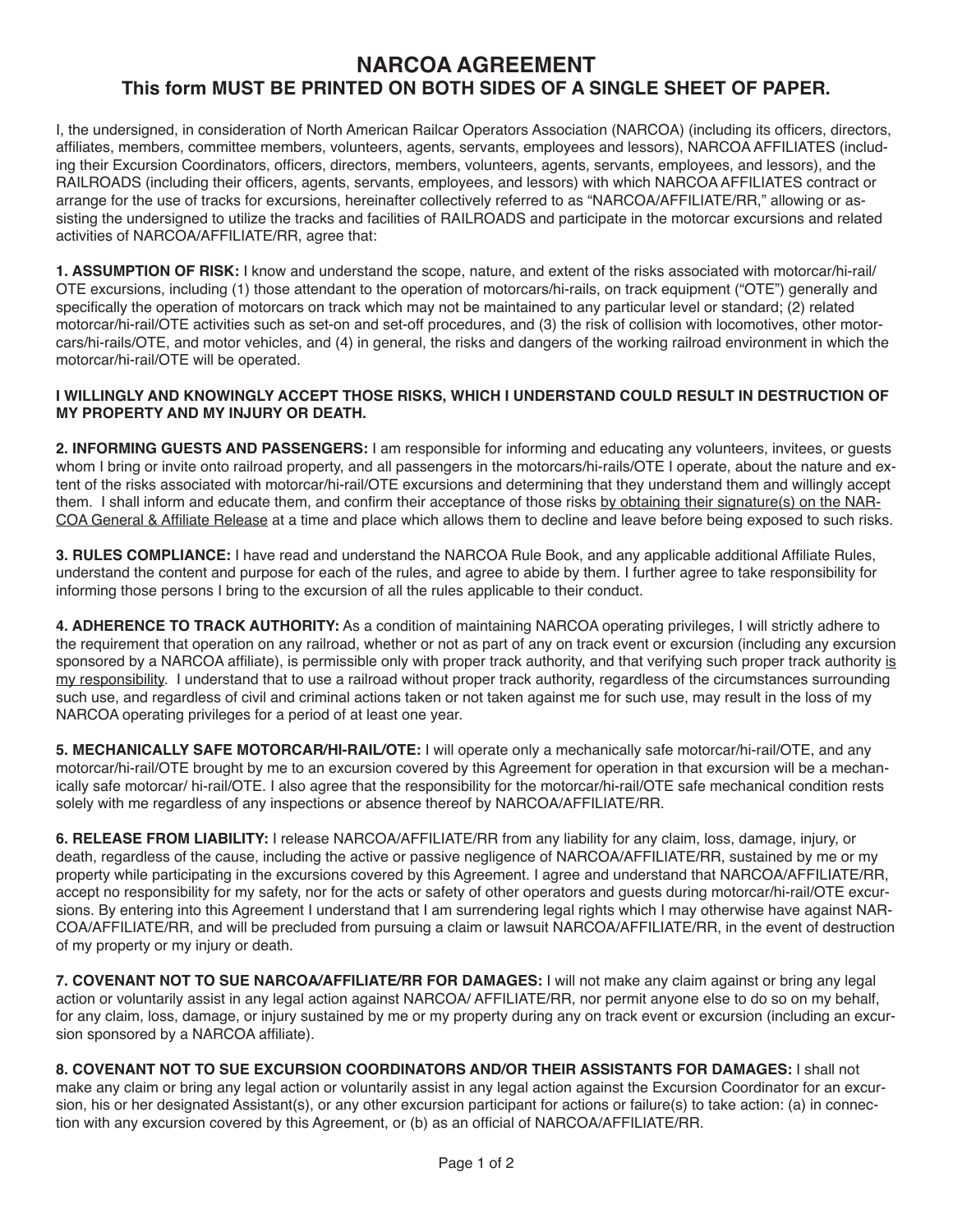# **NARCOA AGREEMENT This form MUST BE PRINTED ON BOTH SIDES OF A SINGLE SHEET OF PAPER.**

I, the undersigned, in consideration of North American Railcar Operators Association (NARCOA) (including its officers, directors, affiliates, members, committee members, volunteers, agents, servants, employees and lessors), NARCOA AFFILIATES (including their Excursion Coordinators, officers, directors, members, volunteers, agents, servants, employees, and lessors), and the RAILROADS (including their officers, agents, servants, employees, and lessors) with which NARCOA AFFILIATES contract or arrange for the use of tracks for excursions, hereinafter collectively referred to as "NARCOA/AFFILIATE/RR," allowing or assisting the undersigned to utilize the tracks and facilities of RAILROADS and participate in the motorcar excursions and related activities of NARCOA/AFFILIATE/RR, agree that:

**1. ASSUMPTION OF RISK:** I know and understand the scope, nature, and extent of the risks associated with motorcar/hi-rail/ OTE excursions, including (1) those attendant to the operation of motorcars/hi-rails, on track equipment ("OTE") generally and specifically the operation of motorcars on track which may not be maintained to any particular level or standard; (2) related motorcar/hi-rail/OTE activities such as set-on and set-off procedures, and (3) the risk of collision with locomotives, other motorcars/hi-rails/OTE, and motor vehicles, and (4) in general, the risks and dangers of the working railroad environment in which the motorcar/hi-rail/OTE will be operated.

# **I WILLINGLY AND KNOWINGLY ACCEPT THOSE RISKS, WHICH I UNDERSTAND COULD RESULT IN DESTRUCTION OF MY PROPERTY AND MY INJURY OR DEATH.**

**2. INFORMING GUESTS AND PASSENGERS:** I am responsible for informing and educating any volunteers, invitees, or guests whom I bring or invite onto railroad property, and all passengers in the motorcars/hi-rails/OTE I operate, about the nature and extent of the risks associated with motorcar/hi-rail/OTE excursions and determining that they understand them and willingly accept them. I shall inform and educate them, and confirm their acceptance of those risks by obtaining their signature(s) on the NAR-COA General & Affiliate Release at a time and place which allows them to decline and leave before being exposed to such risks.

**3. RULES COMPLIANCE:** I have read and understand the NARCOA Rule Book, and any applicable additional Affiliate Rules, understand the content and purpose for each of the rules, and agree to abide by them. I further agree to take responsibility for informing those persons I bring to the excursion of all the rules applicable to their conduct.

**4. ADHERENCE TO TRACK AUTHORITY:** As a condition of maintaining NARCOA operating privileges, I will strictly adhere to the requirement that operation on any railroad, whether or not as part of any on track event or excursion (including any excursion sponsored by a NARCOA affiliate), is permissible only with proper track authority, and that verifying such proper track authority is my responsibility. I understand that to use a railroad without proper track authority, regardless of the circumstances surrounding such use, and regardless of civil and criminal actions taken or not taken against me for such use, may result in the loss of my NARCOA operating privileges for a period of at least one year.

**5. MECHANICALLY SAFE MOTORCAR/HI-RAIL/OTE:** I will operate only a mechanically safe motorcar/hi-rail/OTE, and any motorcar/hi-rail/OTE brought by me to an excursion covered by this Agreement for operation in that excursion will be a mechanically safe motorcar/ hi-rail/OTE. I also agree that the responsibility for the motorcar/hi-rail/OTE safe mechanical condition rests solely with me regardless of any inspections or absence thereof by NARCOA/AFFILIATE/RR.

**6. RELEASE FROM LIABILITY:** I release NARCOA/AFFILIATE/RR from any liability for any claim, loss, damage, injury, or death, regardless of the cause, including the active or passive negligence of NARCOA/AFFILIATE/RR, sustained by me or my property while participating in the excursions covered by this Agreement. I agree and understand that NARCOA/AFFILIATE/RR, accept no responsibility for my safety, nor for the acts or safety of other operators and guests during motorcar/hi-rail/OTE excursions. By entering into this Agreement I understand that I am surrendering legal rights which I may otherwise have against NAR-COA/AFFILIATE/RR, and will be precluded from pursuing a claim or lawsuit NARCOA/AFFILIATE/RR, in the event of destruction of my property or my injury or death.

**7. COVENANT NOT TO SUE NARCOA/AFFILIATE/RR FOR DAMAGES:** I will not make any claim against or bring any legal action or voluntarily assist in any legal action against NARCOA/ AFFILIATE/RR, nor permit anyone else to do so on my behalf, for any claim, loss, damage, or injury sustained by me or my property during any on track event or excursion (including an excursion sponsored by a NARCOA affiliate).

**8. COVENANT NOT TO SUE EXCURSION COORDINATORS AND/OR THEIR ASSISTANTS FOR DAMAGES:** I shall not make any claim or bring any legal action or voluntarily assist in any legal action against the Excursion Coordinator for an excursion, his or her designated Assistant(s), or any other excursion participant for actions or failure(s) to take action: (a) in connection with any excursion covered by this Agreement, or (b) as an official of NARCOA/AFFILIATE/RR.